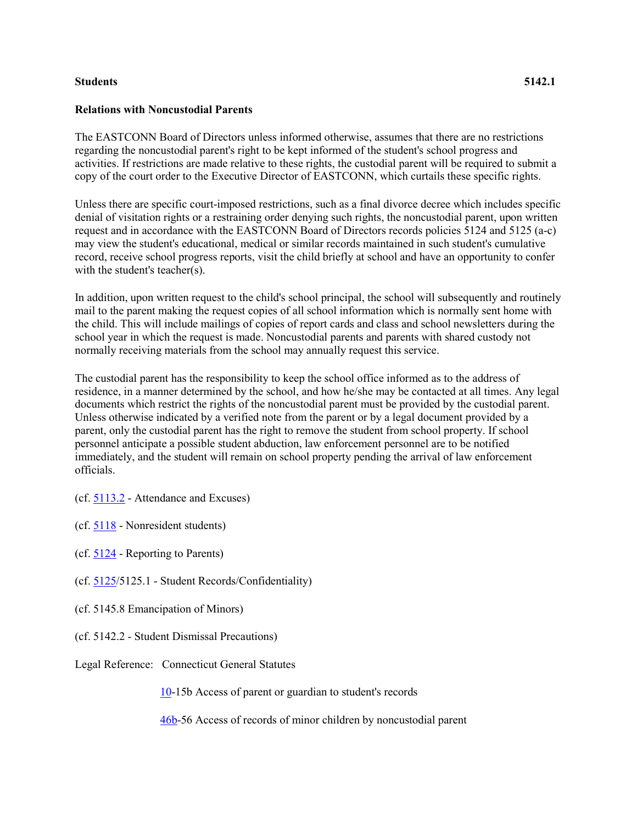## **Students 5142.1**

## **Relations with Noncustodial Parents**

The EASTCONN Board of Directors unless informed otherwise, assumes that there are no restrictions regarding the noncustodial parent's right to be kept informed of the student's school progress and activities. If restrictions are made relative to these rights, the custodial parent will be required to submit a copy of the court order to the Executive Director of EASTCONN, which curtails these specific rights.

Unless there are specific court-imposed restrictions, such as a final divorce decree which includes specific denial of visitation rights or a restraining order denying such rights, the noncustodial parent, upon written request and in accordance with the EASTCONN Board of Directors records policies 5124 and 5125 (a-c) may view the student's educational, medical or similar records maintained in such student's cumulative record, receive school progress reports, visit the child briefly at school and have an opportunity to confer with the student's teacher(s).

In addition, upon written request to the child's school principal, the school will subsequently and routinely mail to the parent making the request copies of all school information which is normally sent home with the child. This will include mailings of copies of report cards and class and school newsletters during the school year in which the request is made. Noncustodial parents and parents with shared custody not normally receiving materials from the school may annually request this service.

The custodial parent has the responsibility to keep the school office informed as to the address of residence, in a manner determined by the school, and how he/she may be contacted at all times. Any legal documents which restrict the rights of the noncustodial parent must be provided by the custodial parent. Unless otherwise indicated by a verified note from the parent or by a legal document provided by a parent, only the custodial parent has the right to remove the student from school property. If school personnel anticipate a possible student abduction, law enforcement personnel are to be notified immediately, and the student will remain on school property pending the arrival of law enforcement officials.

(cf. [5113.2](http://z2policy.cabe.org/cabe/DocViewer.jsp?docid=233&z2collection=core#JD_5113.2) - Attendance and Excuses)

(cf. [5118](http://z2policy.cabe.org/cabe/DocViewer.jsp?docid=241&z2collection=core#JD_5118) - Nonresident students)

(cf. [5124](http://z2policy.cabe.org/cabe/DocViewer.jsp?docid=254&z2collection=core#JD_5124) - Reporting to Parents)

(cf. [5125/](http://z2policy.cabe.org/cabe/DocViewer.jsp?docid=255&z2collection=core#JD_5125)5125.1 - Student Records/Confidentiality)

(cf. 5145.8 Emancipation of Minors)

- (cf. 5142.2 Student Dismissal Precautions)
- Legal Reference: Connecticut General Statutes

[10-](http://www.cga.ct.gov/2011/pub/Title10.htm)15b Access of parent or guardian to student's records

[46b-](http://www.cga.ct.gov/2011/pub/Title46b.htm)56 Access of records of minor children by noncustodial parent